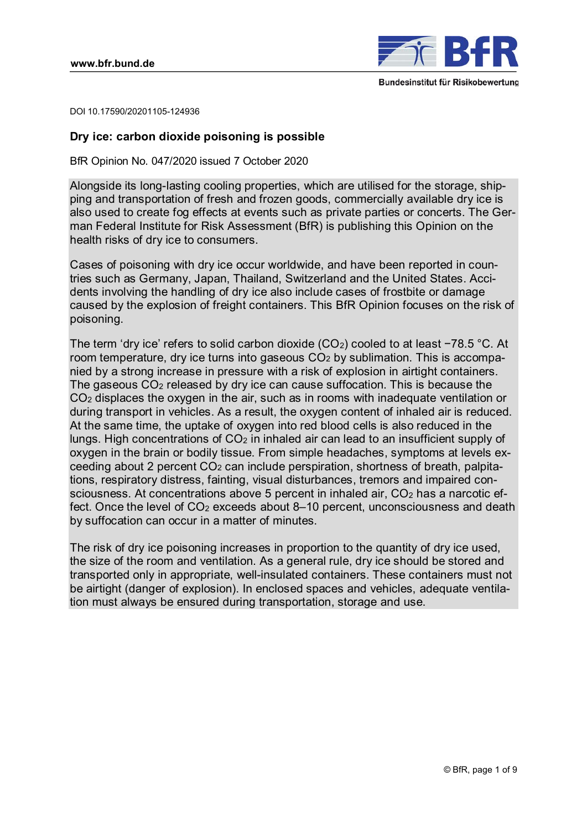

DOI 10.17590/20201105-124936

# **Dry ice: carbon dioxide poisoning is possible**

BfR Opinion No. 047/2020 issued 7 October 2020

Alongside its long-lasting cooling properties, which are utilised for the storage, shipping and transportation of fresh and frozen goods, commercially available dry ice is also used to create fog effects at events such as private parties or concerts. The German Federal Institute for Risk Assessment (BfR) is publishing this Opinion on the health risks of dry ice to consumers.

Cases of poisoning with dry ice occur worldwide, and have been reported in countries such as Germany, Japan, Thailand, Switzerland and the United States. Accidents involving the handling of dry ice also include cases of frostbite or damage caused by the explosion of freight containers. This BfR Opinion focuses on the risk of poisoning.

The term 'dry ice' refers to solid carbon dioxide (CO<sub>2</sub>) cooled to at least −78.5 °C. At room temperature, dry ice turns into gaseous CO<sub>2</sub> by sublimation. This is accompanied by a strong increase in pressure with a risk of explosion in airtight containers. The gaseous CO2 released by dry ice can cause suffocation. This is because the CO2 displaces the oxygen in the air, such as in rooms with inadequate ventilation or during transport in vehicles. As a result, the oxygen content of inhaled air is reduced. At the same time, the uptake of oxygen into red blood cells is also reduced in the lungs. High concentrations of  $CO<sub>2</sub>$  in inhaled air can lead to an insufficient supply of oxygen in the brain or bodily tissue. From simple headaches, symptoms at levels exceeding about 2 percent CO2 can include perspiration, shortness of breath, palpitations, respiratory distress, fainting, visual disturbances, tremors and impaired consciousness. At concentrations above 5 percent in inhaled air, CO<sub>2</sub> has a narcotic effect. Once the level of CO2 exceeds about 8–10 percent, unconsciousness and death by suffocation can occur in a matter of minutes.

The risk of dry ice poisoning increases in proportion to the quantity of dry ice used, the size of the room and ventilation. As a general rule, dry ice should be stored and transported only in appropriate, well-insulated containers. These containers must not be airtight (danger of explosion). In enclosed spaces and vehicles, adequate ventilation must always be ensured during transportation, storage and use.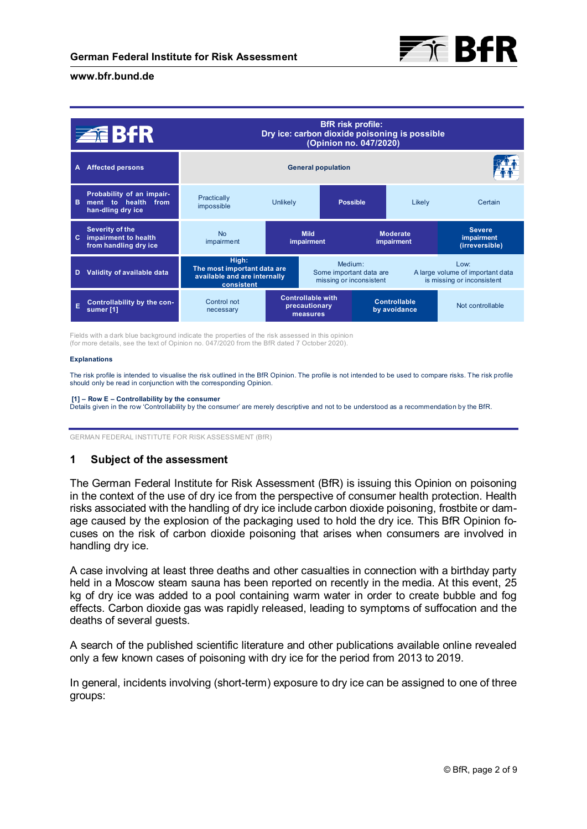

|   | <b>ZEBIR</b>                                                          | <b>BfR</b> risk profile:<br>Dry ice: carbon dioxide poisoning is possible<br>(Opinion no. 047/2020) |                                                                                      |                 |                                                                |                              |                                               |
|---|-----------------------------------------------------------------------|-----------------------------------------------------------------------------------------------------|--------------------------------------------------------------------------------------|-----------------|----------------------------------------------------------------|------------------------------|-----------------------------------------------|
| A | <b>Affected persons</b>                                               | <b>General population</b>                                                                           |                                                                                      |                 |                                                                |                              |                                               |
| в | Probability of an impair-<br>ment to health from<br>han-dling dry ice | Practically<br>impossible                                                                           | <b>Unlikely</b>                                                                      | <b>Possible</b> |                                                                | Likely                       | Certain                                       |
| c | Severity of the<br>impairment to health<br>from handling dry ice      | No<br>impairment                                                                                    | <b>Mild</b><br>impairment                                                            |                 | <b>Moderate</b><br>impairment                                  |                              | <b>Severe</b><br>impairment<br>(irreversible) |
| D | Validity of available data                                            | High:<br>The most important data are<br>available and are internally<br>consistent                  | Medium <sup>-</sup><br>$1$ OW:<br>Some important data are<br>missing or inconsistent |                 | A large volume of important data<br>is missing or inconsistent |                              |                                               |
| Ē | Controllability by the con-<br>sumer [1]                              | Control not<br>necessary                                                                            | <b>Controllable with</b><br>precautionary<br>measures                                |                 |                                                                | Controllable<br>by avoidance | Not controllable                              |

Fields with a dark blue background indicate the properties of the risk assessed in this opinion (for more details, see the text of Opinion no. 047/2020 from the BfR dated 7 October 2020).

#### **Explanations**

The risk profile is intended to visualise the risk outlined in the BfR Opinion. The profile is not intended to be used to compare risks. The risk profile should only be read in conjunction with the corresponding Opinion.

#### **[1] – Row E – Controllability by the consumer**

Details given in the row 'Controllability by the consumer' are merely descriptive and not to be understood as a recommendation by the BfR.

GERMAN FEDERAL INSTITUTE FOR RISK ASSESSMENT (BfR)

# **1 Subject of the assessment**

The German Federal Institute for Risk Assessment (BfR) is issuing this Opinion on poisoning in the context of the use of dry ice from the perspective of consumer health protection. Health risks associated with the handling of dry ice include carbon dioxide poisoning, frostbite or damage caused by the explosion of the packaging used to hold the dry ice. This BfR Opinion focuses on the risk of carbon dioxide poisoning that arises when consumers are involved in handling dry ice.

A case involving at least three deaths and other casualties in connection with a birthday party held in a Moscow steam sauna has been reported on recently in the media. At this event, 25 kg of dry ice was added to a pool containing warm water in order to create bubble and fog effects. Carbon dioxide gas was rapidly released, leading to symptoms of suffocation and the deaths of several guests.

A search of the published scientific literature and other publications available online revealed only a few known cases of poisoning with dry ice for the period from 2013 to 2019.

In general, incidents involving (short-term) exposure to dry ice can be assigned to one of three groups: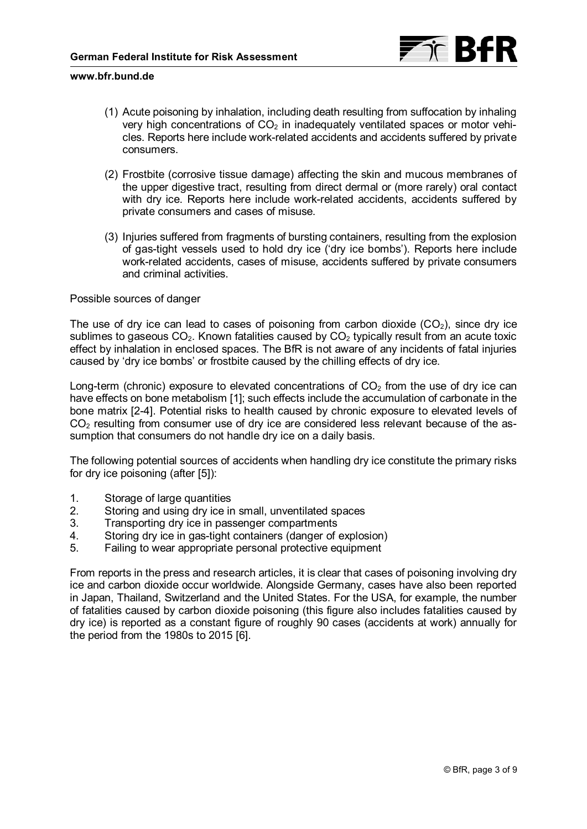

- (1) Acute poisoning by inhalation, including death resulting from suffocation by inhaling very high concentrations of  $CO<sub>2</sub>$  in inadequately ventilated spaces or motor vehicles. Reports here include work-related accidents and accidents suffered by private consumers.
- (2) Frostbite (corrosive tissue damage) affecting the skin and mucous membranes of the upper digestive tract, resulting from direct dermal or (more rarely) oral contact with dry ice. Reports here include work-related accidents, accidents suffered by private consumers and cases of misuse.
- (3) Injuries suffered from fragments of bursting containers, resulting from the explosion of gas-tight vessels used to hold dry ice ('dry ice bombs'). Reports here include work-related accidents, cases of misuse, accidents suffered by private consumers and criminal activities.

## Possible sources of danger

The use of dry ice can lead to cases of poisoning from carbon dioxide  $(CO<sub>2</sub>)$ , since dry ice sublimes to gaseous  $CO<sub>2</sub>$ . Known fatalities caused by  $CO<sub>2</sub>$  typically result from an acute toxic effect by inhalation in enclosed spaces. The BfR is not aware of any incidents of fatal injuries caused by 'dry ice bombs' or frostbite caused by the chilling effects of dry ice.

Long-term (chronic) exposure to elevated concentrations of  $CO<sub>2</sub>$  from the use of dry ice can have effects on bone metabolism [\[1\];](#page-7-0) such effects include the accumulation of carbonate in the bone matrix [\[2-4\]](#page-7-0). Potential risks to health caused by chronic exposure to elevated levels of  $CO<sub>2</sub>$  resulting from consumer use of dry ice are considered less relevant because of the assumption that consumers do not handle dry ice on a daily basis.

The following potential sources of accidents when handling dry ice constitute the primary risks for dry ice poisoning (after [\[5\]](#page-7-0)):

- 1. Storage of large quantities<br>2. Storing and using dry ice in
- 2. Storing and using dry ice in small, unventilated spaces<br>3. Transporting dry ice in passenger compartments
- Transporting dry ice in passenger compartments
- 4. Storing dry ice in gas-tight containers (danger of explosion)
- 5. Failing to wear appropriate personal protective equipment

From reports in the press and research articles, it is clear that cases of poisoning involving dry ice and carbon dioxide occur worldwide. Alongside Germany, cases have also been reported in Japan, Thailand, Switzerland and the United States. For the USA, for example, the number of fatalities caused by carbon dioxide poisoning (this figure also includes fatalities caused by dry ice) is reported as a constant figure of roughly 90 cases (accidents at work) annually for the period from the 1980s to 2015 [\[6\].](#page-7-0)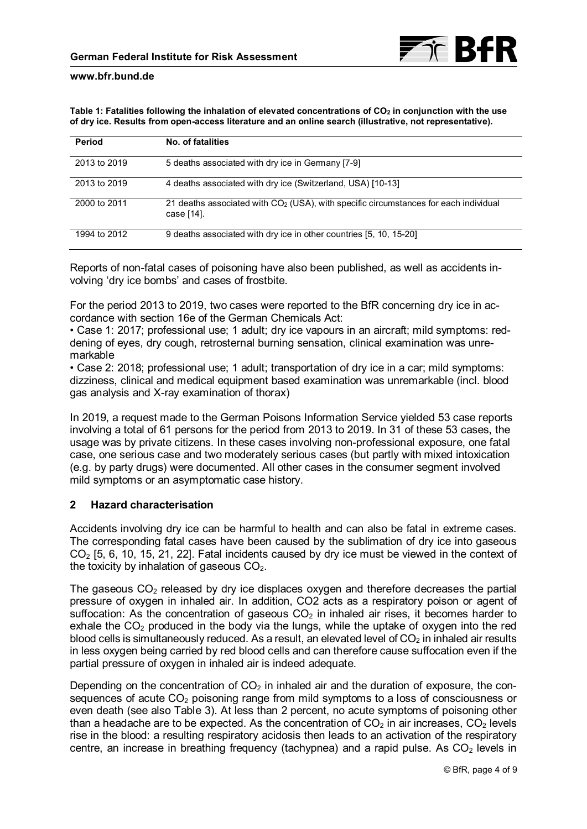| Table 1: Fatalities following the inhalation of elevated concentrations of $CO2$ in conjunction with the use |
|--------------------------------------------------------------------------------------------------------------|
| of dry ice. Results from open-access literature and an online search (illustrative, not representative).     |

| Period       | No. of fatalities                                                                                              |
|--------------|----------------------------------------------------------------------------------------------------------------|
| 2013 to 2019 | 5 deaths associated with dry ice in Germany [7-9]                                                              |
| 2013 to 2019 | 4 deaths associated with dry ice (Switzerland, USA) [10-13]                                                    |
| 2000 to 2011 | 21 deaths associated with CO <sub>2</sub> (USA), with specific circumstances for each individual<br>case [14]. |
| 1994 to 2012 | 9 deaths associated with dry ice in other countries [5, 10, 15-20]                                             |

Reports of non-fatal cases of poisoning have also been published, as well as accidents involving 'dry ice bombs' and cases of frostbite.

For the period 2013 to 2019, two cases were reported to the BfR concerning dry ice in accordance with section 16e of the German Chemicals Act:

• Case 1: 2017; professional use; 1 adult; dry ice vapours in an aircraft; mild symptoms: reddening of eyes, dry cough, retrosternal burning sensation, clinical examination was unremarkable

• Case 2: 2018; professional use; 1 adult; transportation of dry ice in a car; mild symptoms: dizziness, clinical and medical equipment based examination was unremarkable (incl. blood gas analysis and X-ray examination of thorax)

In 2019, a request made to the German Poisons Information Service yielded 53 case reports involving a total of 61 persons for the period from 2013 to 2019. In 31 of these 53 cases, the usage was by private citizens. In these cases involving non-professional exposure, one fatal case, one serious case and two moderately serious cases (but partly with mixed intoxication (e.g. by party drugs) were documented. All other cases in the consumer segment involved mild symptoms or an asymptomatic case history.

# **2 Hazard characterisation**

Accidents involving dry ice can be harmful to health and can also be fatal in extreme cases. The corresponding fatal cases have been caused by the sublimation of dry ice into gaseous CO2 [\[5](#page-7-0), [6, 10](#page-7-0), [15](#page-8-0), [21, 22\]](#page-8-0). Fatal incidents caused by dry ice must be viewed in the context of the toxicity by inhalation of gaseous  $CO<sub>2</sub>$ .

The gaseous  $CO<sub>2</sub>$  released by dry ice displaces oxygen and therefore decreases the partial pressure of oxygen in inhaled air. In addition, CO2 acts as a respiratory poison or agent of suffocation: As the concentration of gaseous  $CO<sub>2</sub>$  in inhaled air rises, it becomes harder to exhale the  $CO<sub>2</sub>$  produced in the body via the lungs, while the uptake of oxygen into the red blood cells is simultaneously reduced. As a result, an elevated level of  $CO<sub>2</sub>$  in inhaled air results in less oxygen being carried by red blood cells and can therefore cause suffocation even if the partial pressure of oxygen in inhaled air is indeed adequate.

Depending on the concentration of  $CO<sub>2</sub>$  in inhaled air and the duration of exposure, the consequences of acute  $CO<sub>2</sub>$  poisoning range from mild symptoms to a loss of consciousness or even death (see also [Table 3\)](#page-5-0). At less than 2 percent, no acute symptoms of poisoning other than a headache are to be expected. As the concentration of  $CO<sub>2</sub>$  in air increases,  $CO<sub>2</sub>$  levels rise in the blood: a resulting respiratory acidosis then leads to an activation of the respiratory centre, an increase in breathing frequency (tachypnea) and a rapid pulse. As  $CO<sub>2</sub>$  levels in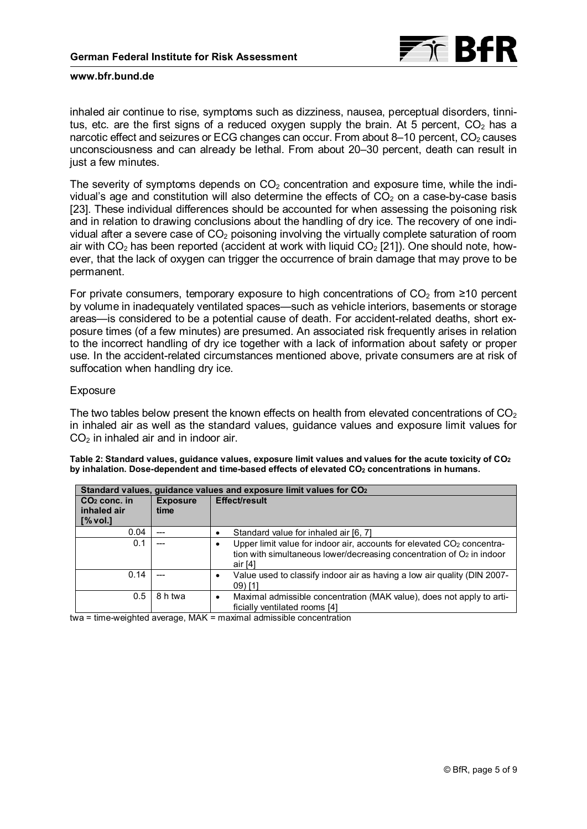

inhaled air continue to rise, symptoms such as dizziness, nausea, perceptual disorders, tinnitus, etc. are the first signs of a reduced oxygen supply the brain. At 5 percent,  $CO<sub>2</sub>$  has a narcotic effect and seizures or ECG changes can occur. From about 8–10 percent,  $CO<sub>2</sub>$  causes unconsciousness and can already be lethal. From about 20–30 percent, death can result in just a few minutes.

The severity of symptoms depends on  $CO<sub>2</sub>$  concentration and exposure time, while the individual's age and constitution will also determine the effects of  $CO<sub>2</sub>$  on a case-by-case basis [\[23\].](#page-8-0) These individual differences should be accounted for when assessing the poisoning risk and in relation to drawing conclusions about the handling of dry ice. The recovery of one individual after a severe case of  $CO<sub>2</sub>$  poisoning involving the virtually complete saturation of room air with  $CO<sub>2</sub>$  has been reported (accident at work with liquid  $CO<sub>2</sub>$  [\[21\]](#page-8-0)). One should note, however, that the lack of oxygen can trigger the occurrence of brain damage that may prove to be permanent.

For private consumers, temporary exposure to high concentrations of  $CO<sub>2</sub>$  from  $\geq$ 10 percent by volume in inadequately ventilated spaces—such as vehicle interiors, basements or storage areas—is considered to be a potential cause of death. For accident-related deaths, short exposure times (of a few minutes) are presumed. An associated risk frequently arises in relation to the incorrect handling of dry ice together with a lack of information about safety or proper use. In the accident-related circumstances mentioned above, private consumers are at risk of suffocation when handling dry ice.

## Exposure

The two tables below present the known effects on health from elevated concentrations of  $CO<sub>2</sub>$ in inhaled air as well as the standard values, guidance values and exposure limit values for  $CO<sub>2</sub>$  in inhaled air and in indoor air.

| Table 2: Standard values, guidance values, exposure limit values and values for the acute toxicity of $CO2$ |  |  |
|-------------------------------------------------------------------------------------------------------------|--|--|
| by inhalation. Dose-dependent and time-based effects of elevated CO <sub>2</sub> concentrations in humans.  |  |  |

| Standard values, quidance values and exposure limit values for CO <sub>2</sub> |                         |                                                                                                                                                                               |  |  |
|--------------------------------------------------------------------------------|-------------------------|-------------------------------------------------------------------------------------------------------------------------------------------------------------------------------|--|--|
| $CO2$ conc. in<br>inhaled air<br>[% vol.]                                      | <b>Exposure</b><br>time | <b>Effect/result</b>                                                                                                                                                          |  |  |
| 0.04                                                                           | ---                     | Standard value for inhaled air [6, 7]                                                                                                                                         |  |  |
| 0.1                                                                            |                         | Upper limit value for indoor air, accounts for elevated CO <sub>2</sub> concentra-<br>٠<br>tion with simultaneous lower/decreasing concentration of $O2$ in indoor<br>air [4] |  |  |
| 0.14                                                                           |                         | Value used to classify indoor air as having a low air quality (DIN 2007-<br>٠<br>$(09)$ [1]                                                                                   |  |  |
| 0.5                                                                            | 8 h twa                 | Maximal admissible concentration (MAK value), does not apply to arti-<br>٠<br>ficially ventilated rooms [4]                                                                   |  |  |

twa = time-weighted average, MAK = maximal admissible concentration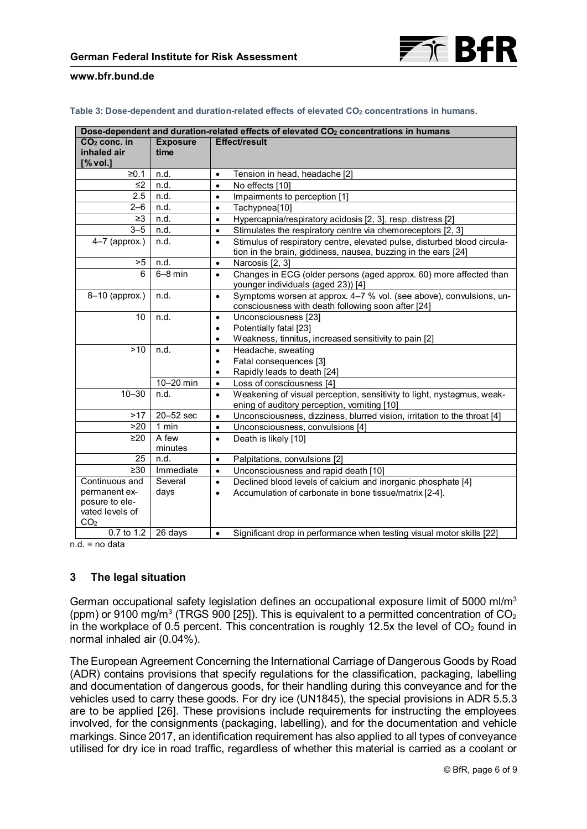

<span id="page-5-0"></span>

| Table 3: Dose-dependent and duration-related effects of elevated CO $_2$ concentrations in humans. |  |
|----------------------------------------------------------------------------------------------------|--|
|----------------------------------------------------------------------------------------------------|--|

| Dose-dependent and duration-related effects of elevated CO <sub>2</sub> concentrations in humans |                         |                                                                                                                                                         |  |  |  |
|--------------------------------------------------------------------------------------------------|-------------------------|---------------------------------------------------------------------------------------------------------------------------------------------------------|--|--|--|
| $CO2$ conc. in<br>inhaled air                                                                    | <b>Exposure</b><br>time | <b>Effect/result</b>                                                                                                                                    |  |  |  |
| [% vol.]                                                                                         |                         |                                                                                                                                                         |  |  |  |
| ≥0.1                                                                                             | n.d.                    | Tension in head, headache [2]<br>$\bullet$                                                                                                              |  |  |  |
| $\leq$ 2                                                                                         | n.d.                    | No effects [10]<br>$\bullet$                                                                                                                            |  |  |  |
| 2.5                                                                                              | n.d.                    | Impairments to perception [1]<br>$\bullet$                                                                                                              |  |  |  |
| $2 - 6$                                                                                          | n.d.                    | Tachypnea[10]                                                                                                                                           |  |  |  |
| $\geq$ 3                                                                                         | n.d.                    | Hypercapnia/respiratory acidosis [2, 3], resp. distress [2]<br>$\bullet$                                                                                |  |  |  |
| $3 - 5$                                                                                          | n.d.                    | Stimulates the respiratory centre via chemoreceptors [2, 3]<br>$\bullet$                                                                                |  |  |  |
| $4-7$ (approx.)                                                                                  | n.d.                    | Stimulus of respiratory centre, elevated pulse, disturbed blood circula-<br>$\bullet$<br>tion in the brain, giddiness, nausea, buzzing in the ears [24] |  |  |  |
| >5                                                                                               | n.d.                    | Narcosis [2, 3]<br>$\bullet$                                                                                                                            |  |  |  |
| 6                                                                                                | $6-8$ min               | Changes in ECG (older persons (aged approx. 60) more affected than<br>$\bullet$<br>younger individuals (aged 23)) [4]                                   |  |  |  |
| 8-10 (approx.)                                                                                   | n.d.                    | Symptoms worsen at approx. 4-7 % vol. (see above), convulsions, un-<br>$\bullet$<br>consciousness with death following soon after [24]                  |  |  |  |
| 10                                                                                               | n.d.                    | Unconsciousness [23]<br>$\bullet$                                                                                                                       |  |  |  |
|                                                                                                  |                         | Potentially fatal [23]<br>$\bullet$                                                                                                                     |  |  |  |
|                                                                                                  |                         | Weakness, tinnitus, increased sensitivity to pain [2]<br>$\bullet$                                                                                      |  |  |  |
| $>10$                                                                                            | n.d.                    | Headache, sweating<br>$\bullet$                                                                                                                         |  |  |  |
|                                                                                                  |                         | Fatal consequences [3]<br>$\bullet$                                                                                                                     |  |  |  |
|                                                                                                  |                         | Rapidly leads to death [24]<br>$\bullet$                                                                                                                |  |  |  |
|                                                                                                  | 10-20 min               | Loss of consciousness [4]<br>$\bullet$                                                                                                                  |  |  |  |
| $10 - 30$                                                                                        | n.d.                    | Weakening of visual perception, sensitivity to light, nystagmus, weak-<br>$\bullet$<br>ening of auditory perception, vomiting [10]                      |  |  |  |
| >17                                                                                              | 20-52 sec               | Unconsciousness, dizziness, blurred vision, irritation to the throat [4]<br>$\bullet$                                                                   |  |  |  |
| >20                                                                                              | $1$ min                 | Unconsciousness, convulsions [4]<br>$\bullet$                                                                                                           |  |  |  |
| $\geq$ 20                                                                                        | A few<br>minutes        | Death is likely [10]<br>$\bullet$                                                                                                                       |  |  |  |
| 25                                                                                               | n.d.                    | Palpitations, convulsions [2]<br>$\bullet$                                                                                                              |  |  |  |
| $\geq 30$                                                                                        | Immediate               | Unconsciousness and rapid death [10]<br>$\bullet$                                                                                                       |  |  |  |
| Continuous and                                                                                   | Several                 | Declined blood levels of calcium and inorganic phosphate [4]<br>$\bullet$                                                                               |  |  |  |
| permanent ex-                                                                                    | days                    | Accumulation of carbonate in bone tissue/matrix [2-4].<br>$\bullet$                                                                                     |  |  |  |
| posure to ele-<br>vated levels of                                                                |                         |                                                                                                                                                         |  |  |  |
| CO <sub>2</sub>                                                                                  |                         |                                                                                                                                                         |  |  |  |
| 0.7 to 1.2                                                                                       | 26 days                 | Significant drop in performance when testing visual motor skills [22]<br>$\bullet$                                                                      |  |  |  |

n.d. = no data

# **3 The legal situation**

German occupational safety legislation defines an occupational exposure limit of 5000 ml/m<sup>3</sup> (ppm) or 9100 mg/m<sup>3</sup> (TRGS 900 [\[25\]\)](#page-8-0). This is equivalent to a permitted concentration of  $CO<sub>2</sub>$ in the workplace of 0.5 percent. This concentration is roughly 12.5x the level of  $CO<sub>2</sub>$  found in normal inhaled air (0.04%).

The European Agreement Concerning the International Carriage of Dangerous Goods by Road (ADR) contains provisions that specify regulations for the classification, packaging, labelling and documentation of dangerous goods, for their handling during this conveyance and for the vehicles used to carry these goods. For dry ice (UN1845), the special provisions in ADR 5.5.3 are to be applied [\[26\]](#page-8-0). These provisions include requirements for instructing the employees involved, for the consignments (packaging, labelling), and for the documentation and vehicle markings. Since 2017, an identification requirement has also applied to all types of conveyance utilised for dry ice in road traffic, regardless of whether this material is carried as a coolant or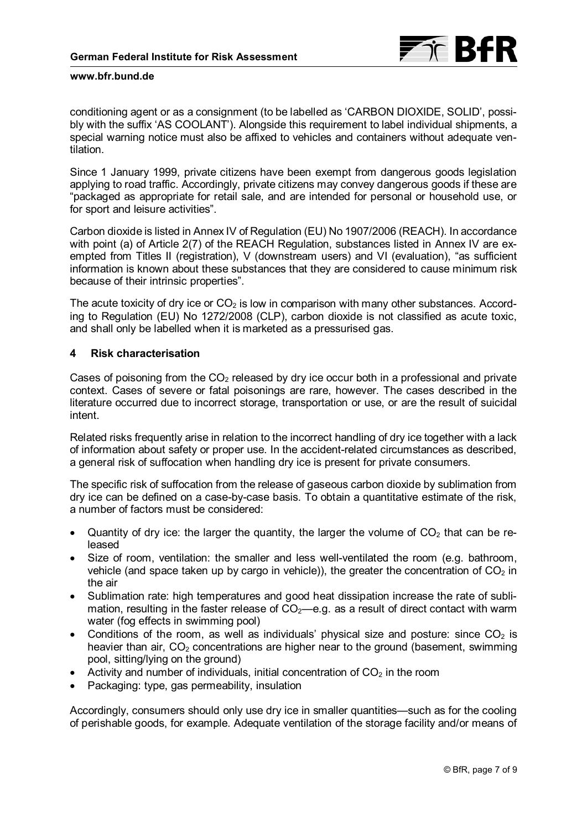

conditioning agent or as a consignment (to be labelled as 'CARBON DIOXIDE, SOLID', possibly with the suffix 'AS COOLANT'). Alongside this requirement to label individual shipments, a special warning notice must also be affixed to vehicles and containers without adequate ventilation.

Since 1 January 1999, private citizens have been exempt from dangerous goods legislation applying to road traffic. Accordingly, private citizens may convey dangerous goods if these are "packaged as appropriate for retail sale, and are intended for personal or household use, or for sport and leisure activities".

Carbon dioxide is listed in Annex IV of Regulation (EU) No 1907/2006 (REACH). In accordance with point (a) of Article 2(7) of the REACH Regulation, substances listed in Annex IV are exempted from Titles II (registration), V (downstream users) and VI (evaluation), "as sufficient information is known about these substances that they are considered to cause minimum risk because of their intrinsic properties".

The acute toxicity of dry ice or  $CO<sub>2</sub>$  is low in comparison with many other substances. According to Regulation (EU) No 1272/2008 (CLP), carbon dioxide is not classified as acute toxic, and shall only be labelled when it is marketed as a pressurised gas.

# **4 Risk characterisation**

Cases of poisoning from the  $CO<sub>2</sub>$  released by dry ice occur both in a professional and private context. Cases of severe or fatal poisonings are rare, however. The cases described in the literature occurred due to incorrect storage, transportation or use, or are the result of suicidal intent.

Related risks frequently arise in relation to the incorrect handling of dry ice together with a lack of information about safety or proper use. In the accident-related circumstances as described, a general risk of suffocation when handling dry ice is present for private consumers.

The specific risk of suffocation from the release of gaseous carbon dioxide by sublimation from dry ice can be defined on a case-by-case basis. To obtain a quantitative estimate of the risk, a number of factors must be considered:

- Quantity of dry ice: the larger the quantity, the larger the volume of  $CO<sub>2</sub>$  that can be released
- Size of room, ventilation: the smaller and less well-ventilated the room (e.g. bathroom, vehicle (and space taken up by cargo in vehicle)), the greater the concentration of  $CO<sub>2</sub>$  in the air
- Sublimation rate: high temperatures and good heat dissipation increase the rate of sublimation, resulting in the faster release of  $CO<sub>2</sub>$ —e.g. as a result of direct contact with warm water (fog effects in swimming pool)
- Conditions of the room, as well as individuals' physical size and posture: since  $CO<sub>2</sub>$  is heavier than air,  $CO<sub>2</sub>$  concentrations are higher near to the ground (basement, swimming pool, sitting/lying on the ground)
- Activity and number of individuals, initial concentration of  $CO<sub>2</sub>$  in the room
- Packaging: type, gas permeability, insulation

Accordingly, consumers should only use dry ice in smaller quantities—such as for the cooling of perishable goods, for example. Adequate ventilation of the storage facility and/or means of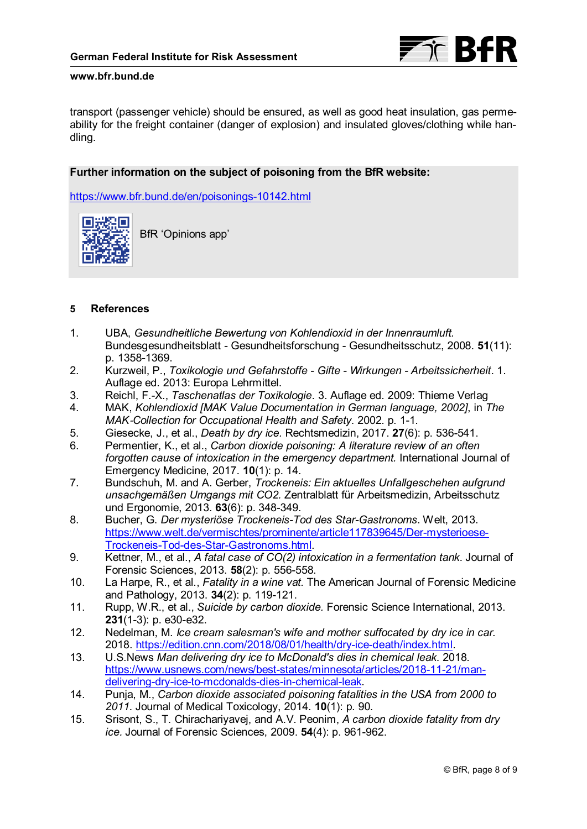

<span id="page-7-0"></span>transport (passenger vehicle) should be ensured, as well as good heat insulation, gas permeability for the freight container (danger of explosion) and insulated gloves/clothing while handling.

# **Further information on the subject of poisoning from the BfR website:**

<https://www.bfr.bund.de/en/poisonings-10142.html>



BfR 'Opinions app'

# **5 References**

- 1. UBA, *Gesundheitliche Bewertung von Kohlendioxid in der Innenraumluft.* Bundesgesundheitsblatt - Gesundheitsforschung - Gesundheitsschutz, 2008. **51**(11): p. 1358-1369.
- 2. Kurzweil, P., *Toxikologie und Gefahrstoffe Gifte Wirkungen Arbeitssicherheit*. 1. Auflage ed. 2013: Europa Lehrmittel.
- 3. Reichl, F.-X., *Taschenatlas der Toxikologie*. 3. Auflage ed. 2009: Thieme Verlag
- 4. MAK, *Kohlendioxid [MAK Value Documentation in German language, 2002]*, in *The MAK*‐*Collection for Occupational Health and Safety*. 2002. p. 1-1.
- 5. Giesecke, J., et al., *Death by dry ice.* Rechtsmedizin, 2017. **27**(6): p. 536-541.
- 6. Permentier, K., et al., *Carbon dioxide poisoning: A literature review of an often forgotten cause of intoxication in the emergency department.* International Journal of Emergency Medicine, 2017. **10**(1): p. 14.
- 7. Bundschuh, M. and A. Gerber, *Trockeneis: Ein aktuelles Unfallgeschehen aufgrund unsachgemäßen Umgangs mit CO2.* Zentralblatt für Arbeitsmedizin, Arbeitsschutz und Ergonomie, 2013. **63**(6): p. 348-349.
- . Trockeneis-Tod-des-Star-Gastronoms.html 8. Bucher, G. *Der mysteriöse Trockeneis-Tod des Star-Gastronoms*. Welt, 2013. [https://www.welt.de/vermischtes/prominente/article117839645/Der-mysterioese-](https://www.welt.de/vermischtes/prominente/article117839645/Der-mysterioese-Trockeneis-Tod-des-Star-Gastronoms.html)
- 9. Kettner, M., et al., *A fatal case of CO(2) intoxication in a fermentation tank.* Journal of Forensic Sciences, 2013. **58**(2): p. 556-558.
- 10. La Harpe, R., et al., *Fatality in a wine vat.* The American Journal of Forensic Medicine and Pathology, 2013. **34**(2): p. 119-121.
- 11. Rupp, W.R., et al., *Suicide by carbon dioxide.* Forensic Science International, 2013. **231**(1-3): p. e30-e32.
- 12. Nedelman, M. *Ice cream salesman's wife and mother suffocated by dry ice in car*. 2018[. https://edition.cnn.com/2018/08/01/health/dry-ice-death/index.html](https://edition.cnn.com/2018/08/01/health/dry-ice-death/index.html).
- 13. U.S.News *Man delivering dry ice to McDonald's dies in chemical leak*. 2018. [https://www.usnews.com/news/best-states/minnesota/articles/2018-11-21/man](https://www.usnews.com/news/best-states/minnesota/articles/2018-11-21/man-delivering-dry-ice-to-mcdonalds-dies-in-chemical-leak)delivering-dry-ice-to-mcdonalds-dies-in-chemical-leak.
- 14. Punja, M., *Carbon dioxide associated poisoning fatalities in the USA from 2000 to 2011.* Journal of Medical Toxicology, 2014. **10**(1): p. 90.
- 15. Srisont, S., T. Chirachariyavej, and A.V. Peonim, *A carbon dioxide fatality from dry ice.* Journal of Forensic Sciences, 2009. **54**(4): p. 961-962.